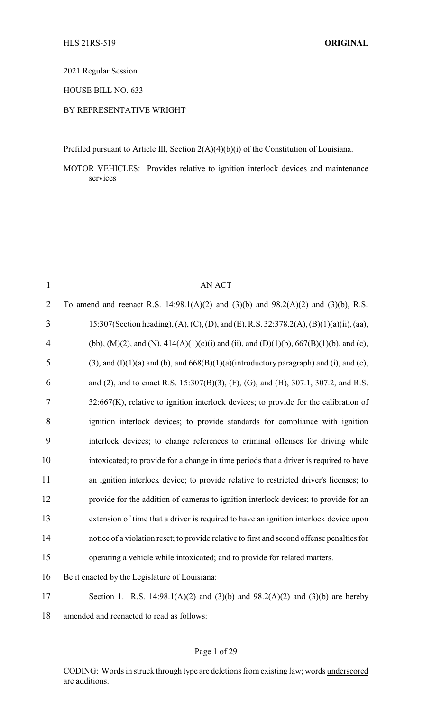2021 Regular Session

HOUSE BILL NO. 633

## BY REPRESENTATIVE WRIGHT

Prefiled pursuant to Article III, Section 2(A)(4)(b)(i) of the Constitution of Louisiana.

MOTOR VEHICLES: Provides relative to ignition interlock devices and maintenance services

| $\mathbf{1}$   | <b>AN ACT</b>                                                                                     |
|----------------|---------------------------------------------------------------------------------------------------|
| $\overline{2}$ | To amend and reenact R.S. 14:98.1(A)(2) and (3)(b) and 98.2(A)(2) and (3)(b), R.S.                |
| $\overline{3}$ | 15:307(Section heading), (A), (C), (D), and (E), R.S. 32:378.2(A), (B)(1)(a)(ii), (aa),           |
| 4              | (bb), (M)(2), and (N), 414(A)(1)(c)(i) and (ii), and (D)(1)(b), 667(B)(1)(b), and (c),            |
| 5              | $(3)$ , and $(I)(1)(a)$ and $(b)$ , and $668(B)(1)(a)$ (introductory paragraph) and (i), and (c), |
| 6              | and (2), and to enact R.S. 15:307(B)(3), (F), (G), and (H), 307.1, 307.2, and R.S.                |
| 7              | $32:667(K)$ , relative to ignition interlock devices; to provide for the calibration of           |
| 8              | ignition interlock devices; to provide standards for compliance with ignition                     |
| 9              | interlock devices; to change references to criminal offenses for driving while                    |
| 10             | intoxicated; to provide for a change in time periods that a driver is required to have            |
| 11             | an ignition interlock device; to provide relative to restricted driver's licenses; to             |
| 12             | provide for the addition of cameras to ignition interlock devices; to provide for an              |
| 13             | extension of time that a driver is required to have an ignition interlock device upon             |
| 14             | notice of a violation reset; to provide relative to first and second offense penalties for        |
| 15             | operating a vehicle while intoxicated; and to provide for related matters.                        |
| 16             | Be it enacted by the Legislature of Louisiana:                                                    |
| 17             | Section 1. R.S. 14:98.1(A)(2) and (3)(b) and 98.2(A)(2) and (3)(b) are hereby                     |
| 18             | amended and reenacted to read as follows:                                                         |

## Page 1 of 29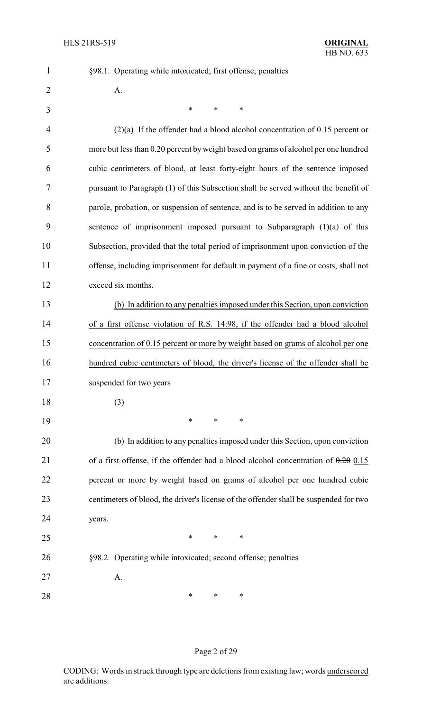§98.1. Operating while intoxicated; first offense; penalties

| $\overline{2}$ | A.                                                                                    |
|----------------|---------------------------------------------------------------------------------------|
| 3              | $\ast$<br>$\ast$<br>$\ast$                                                            |
| 4              | $(2)(a)$ If the offender had a blood alcohol concentration of 0.15 percent or         |
| 5              | more but less than 0.20 percent by weight based on grams of alcohol per one hundred   |
| 6              | cubic centimeters of blood, at least forty-eight hours of the sentence imposed        |
| 7              | pursuant to Paragraph (1) of this Subsection shall be served without the benefit of   |
| 8              | parole, probation, or suspension of sentence, and is to be served in addition to any  |
| 9              | sentence of imprisonment imposed pursuant to Subparagraph $(1)(a)$ of this            |
| 10             | Subsection, provided that the total period of imprisonment upon conviction of the     |
| 11             | offense, including imprisonment for default in payment of a fine or costs, shall not  |
| 12             | exceed six months.                                                                    |
| 13             | (b) In addition to any penalties imposed under this Section, upon conviction          |
| 14             | of a first offense violation of R.S. 14:98, if the offender had a blood alcohol       |
| 15             | concentration of 0.15 percent or more by weight based on grams of alcohol per one     |
| 16             | hundred cubic centimeters of blood, the driver's license of the offender shall be     |
| 17             | suspended for two years                                                               |
| 18             | (3)                                                                                   |
| 19             | $\ast$<br>∗<br>$\ast$                                                                 |
| 20             | (b) In addition to any penalties imposed under this Section, upon conviction          |
| 21             | of a first offense, if the offender had a blood alcohol concentration of $0.20$ 0.15  |
| 22             | percent or more by weight based on grams of alcohol per one hundred cubic             |
| 23             | centimeters of blood, the driver's license of the offender shall be suspended for two |
| 24             | years.                                                                                |
| 25             | $\ast$<br>∗<br>$\ast$                                                                 |
| 26             | §98.2. Operating while intoxicated; second offense; penalties                         |
| 27             | A.                                                                                    |
| 28             | ∗<br>∗<br>$\ast$                                                                      |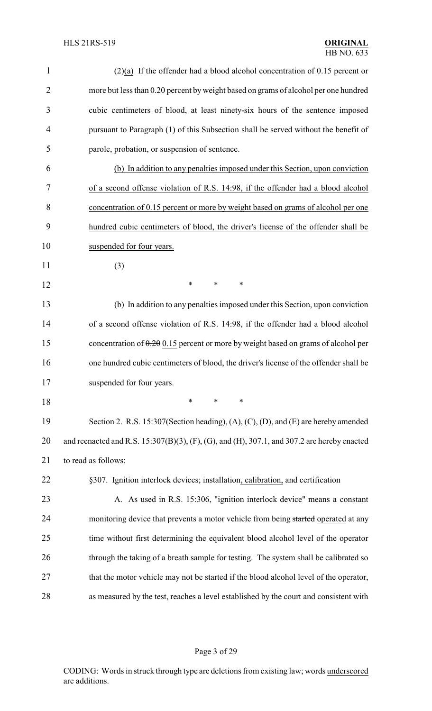| 1              | $(2)(a)$ If the offender had a blood alcohol concentration of 0.15 percent or               |
|----------------|---------------------------------------------------------------------------------------------|
| $\overline{2}$ | more but less than 0.20 percent by weight based on grams of alcohol per one hundred         |
| 3              | cubic centimeters of blood, at least ninety-six hours of the sentence imposed               |
| $\overline{4}$ | pursuant to Paragraph (1) of this Subsection shall be served without the benefit of         |
| 5              | parole, probation, or suspension of sentence.                                               |
| 6              | (b) In addition to any penalties imposed under this Section, upon conviction                |
| 7              | of a second offense violation of R.S. 14:98, if the offender had a blood alcohol            |
| 8              | concentration of 0.15 percent or more by weight based on grams of alcohol per one           |
| 9              | hundred cubic centimeters of blood, the driver's license of the offender shall be           |
| 10             | suspended for four years.                                                                   |
| 11             | (3)                                                                                         |
| 12             | $\ast$<br>∗<br>∗                                                                            |
| 13             | (b) In addition to any penalties imposed under this Section, upon conviction                |
| 14             | of a second offense violation of R.S. 14:98, if the offender had a blood alcohol            |
| 15             | concentration of $0.2\theta$ 0.15 percent or more by weight based on grams of alcohol per   |
| 16             | one hundred cubic centimeters of blood, the driver's license of the offender shall be       |
| 17             | suspended for four years.                                                                   |
| 18             | $\ast$<br>*<br>∗                                                                            |
| 19             | Section 2. R.S. 15:307(Section heading), (A), (C), (D), and (E) are hereby amended          |
| 20             | and reenacted and R.S. 15:307(B)(3), (F), (G), and (H), 307.1, and 307.2 are hereby enacted |
| 21             | to read as follows:                                                                         |
| 22             | §307. Ignition interlock devices; installation, calibration, and certification              |
| 23             | A. As used in R.S. 15:306, "ignition interlock device" means a constant                     |
| 24             | monitoring device that prevents a motor vehicle from being started operated at any          |
| 25             | time without first determining the equivalent blood alcohol level of the operator           |
| 26             | through the taking of a breath sample for testing. The system shall be calibrated so        |
| 27             | that the motor vehicle may not be started if the blood alcohol level of the operator,       |
| 28             | as measured by the test, reaches a level established by the court and consistent with       |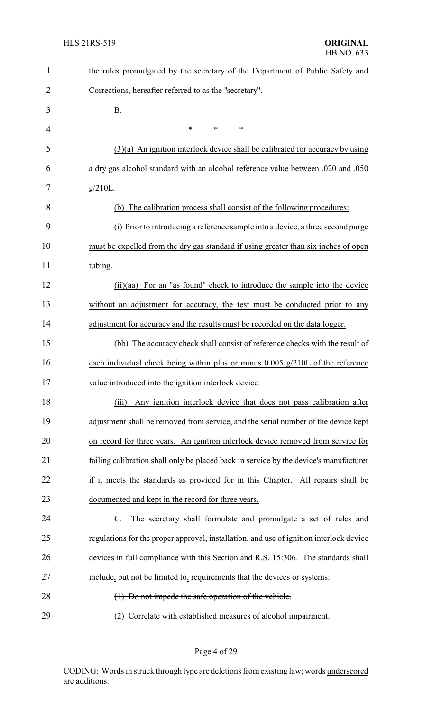| $\mathbf{1}$ | the rules promulgated by the secretary of the Department of Public Safety and           |
|--------------|-----------------------------------------------------------------------------------------|
| 2            | Corrections, hereafter referred to as the "secretary".                                  |
| 3            | <b>B.</b>                                                                               |
| 4            | $\ast$<br>$\ast$<br>∗                                                                   |
| 5            | $(3)(a)$ An ignition interlock device shall be calibrated for accuracy by using         |
| 6            | a dry gas alcohol standard with an alcohol reference value between .020 and .050        |
| 7            | $g/210L$ .                                                                              |
| 8            | (b) The calibration process shall consist of the following procedures:                  |
| 9            | (i) Prior to introducing a reference sample into a device, a three second purge         |
| 10           | must be expelled from the dry gas standard if using greater than six inches of open     |
| 11           | tubing.                                                                                 |
| 12           | (ii)(aa) For an "as found" check to introduce the sample into the device                |
| 13           | without an adjustment for accuracy, the test must be conducted prior to any             |
| 14           | adjustment for accuracy and the results must be recorded on the data logger.            |
| 15           | (bb) The accuracy check shall consist of reference checks with the result of            |
| 16           | each individual check being within plus or minus $0.005$ g/210L of the reference        |
| 17           | value introduced into the ignition interlock device                                     |
| 18           | Any ignition interlock device that does not pass calibration after<br>(iii)             |
| 19           | adjustment shall be removed from service, and the serial number of the device kept      |
| 20           | on record for three years. An ignition interlock device removed from service for        |
| 21           | failing calibration shall only be placed back in service by the device's manufacturer   |
| 22           | if it meets the standards as provided for in this Chapter. All repairs shall be         |
| 23           | documented and kept in the record for three years.                                      |
| 24           | The secretary shall formulate and promulgate a set of rules and<br>$\mathbf{C}$ .       |
| 25           | regulations for the proper approval, installation, and use of ignition interlock device |
| 26           | devices in full compliance with this Section and R.S. 15:306. The standards shall       |
| 27           | include, but not be limited to, requirements that the devices or systems:               |
| 28           | (1) Do not impede the safe operation of the vehicle.                                    |
| 29           | (2) Correlate with established measures of alcohol impairment.                          |

Page 4 of 29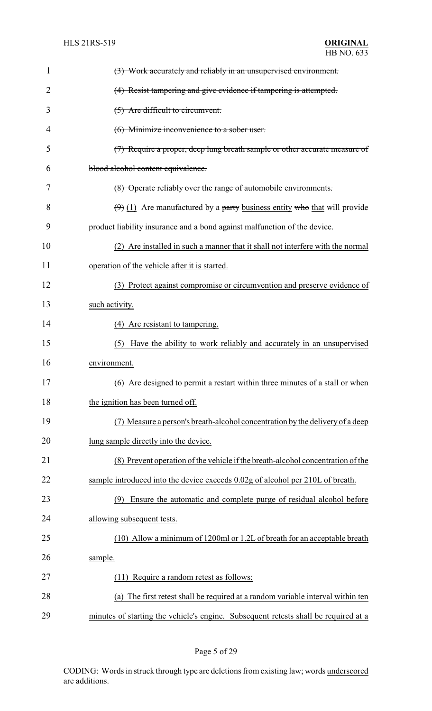| 1  | (3) Work accurately and reliably in an unsupervised environment.                    |
|----|-------------------------------------------------------------------------------------|
| 2  | (4) Resist tampering and give evidence if tampering is attempted.                   |
| 3  | (5) Are difficult to circumvent.                                                    |
| 4  | (6) Minimize inconvenience to a sober user.                                         |
| 5  | (7) Require a proper, deep lung breath sample or other accurate measure of          |
| 6  | blood alcohol content equivalence.                                                  |
| 7  | (8) Operate reliably over the range of automobile environments.                     |
| 8  | $(\theta)$ (1) Are manufactured by a party business entity who that will provide    |
| 9  | product liability insurance and a bond against malfunction of the device.           |
| 10 | (2) Are installed in such a manner that it shall not interfere with the normal      |
| 11 | operation of the vehicle after it is started.                                       |
| 12 | (3) Protect against compromise or circumvention and preserve evidence of            |
| 13 | such activity.                                                                      |
| 14 | (4) Are resistant to tampering.                                                     |
| 15 | Have the ability to work reliably and accurately in an unsupervised<br>(5)          |
| 16 | environment.                                                                        |
| 17 | (6) Are designed to permit a restart within three minutes of a stall or when        |
| 18 | the ignition has been turned off.                                                   |
| 19 | (7) Measure a person's breath-alcohol concentration by the delivery of a deep       |
| 20 | lung sample directly into the device.                                               |
| 21 | (8) Prevent operation of the vehicle if the breath-alcohol concentration of the     |
| 22 | sample introduced into the device exceeds 0.02g of alcohol per 210L of breath.      |
| 23 | Ensure the automatic and complete purge of residual alcohol before<br>(9)           |
| 24 | allowing subsequent tests.                                                          |
| 25 | (10) Allow a minimum of 1200ml or 1.2L of breath for an acceptable breath           |
| 26 | sample.                                                                             |
| 27 | Require a random retest as follows:<br>(11)                                         |
| 28 | (a) The first retest shall be required at a random variable interval within ten     |
| 29 | minutes of starting the vehicle's engine. Subsequent retests shall be required at a |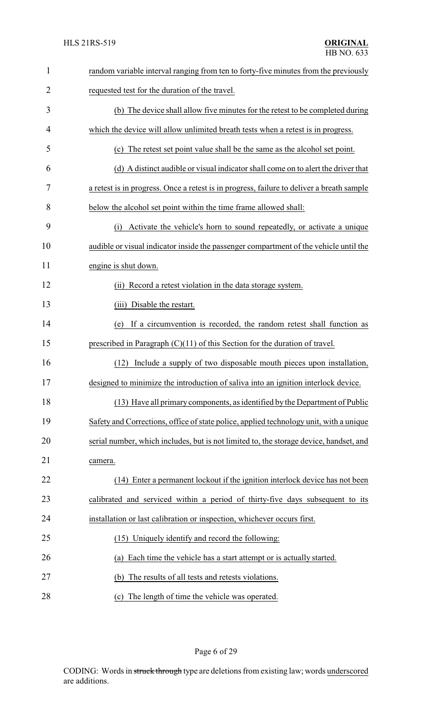| $\mathbf{1}$ | random variable interval ranging from ten to forty-five minutes from the previously       |
|--------------|-------------------------------------------------------------------------------------------|
| 2            | requested test for the duration of the travel.                                            |
| 3            | (b) The device shall allow five minutes for the retest to be completed during             |
| 4            | which the device will allow unlimited breath tests when a retest is in progress.          |
| 5            | (c) The retest set point value shall be the same as the alcohol set point.                |
| 6            | (d) A distinct audible or visual indicator shall come on to alert the driver that         |
| 7            | a retest is in progress. Once a retest is in progress, failure to deliver a breath sample |
| 8            | below the alcohol set point within the time frame allowed shall:                          |
| 9            | Activate the vehicle's horn to sound repeatedly, or activate a unique<br>(i)              |
| 10           | audible or visual indicator inside the passenger compartment of the vehicle until the     |
| 11           | engine is shut down.                                                                      |
| 12           | Record a retest violation in the data storage system.<br>(ii)                             |
| 13           | (iii) Disable the restart.                                                                |
| 14           | (e) If a circumvention is recorded, the random retest shall function as                   |
| 15           | prescribed in Paragraph $(C)(11)$ of this Section for the duration of travel.             |
| 16           | Include a supply of two disposable mouth pieces upon installation,<br>(12)                |
| 17           | designed to minimize the introduction of saliva into an ignition interlock device         |
| 18           | (13) Have all primary components, as identified by the Department of Public               |
| 19           | Safety and Corrections, office of state police, applied technology unit, with a unique    |
| 20           | serial number, which includes, but is not limited to, the storage device, handset, and    |
| 21           | camera.                                                                                   |
| 22           | Enter a permanent lockout if the ignition interlock device has not been<br>(14)           |
| 23           | calibrated and serviced within a period of thirty-five days subsequent to its             |
| 24           | installation or last calibration or inspection, whichever occurs first.                   |
| 25           | (15) Uniquely identify and record the following:                                          |
| 26           | Each time the vehicle has a start attempt or is actually started.<br>(a)                  |
| 27           | The results of all tests and retests violations.<br>(b)                                   |
| 28           | The length of time the vehicle was operated.<br>(c)                                       |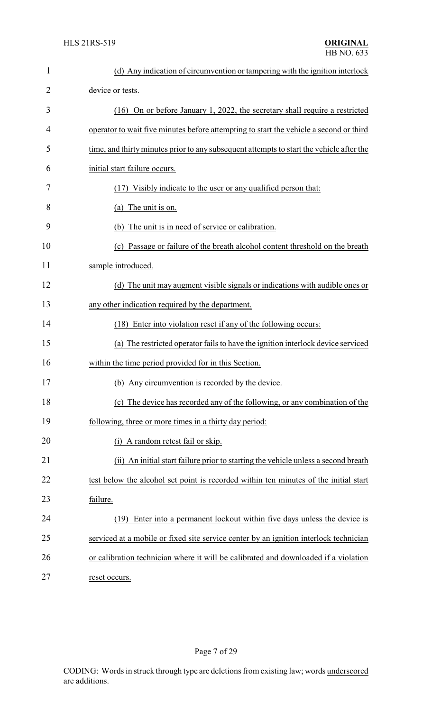| $\mathbf{1}$   | (d) Any indication of circumvention or tampering with the ignition interlock             |
|----------------|------------------------------------------------------------------------------------------|
| $\overline{2}$ | device or tests.                                                                         |
| 3              | (16) On or before January 1, 2022, the secretary shall require a restricted              |
| 4              | operator to wait five minutes before attempting to start the vehicle a second or third   |
| 5              | time, and thirty minutes prior to any subsequent attempts to start the vehicle after the |
| 6              | initial start failure occurs.                                                            |
| 7              | (17) Visibly indicate to the user or any qualified person that:                          |
| 8              | (a) The unit is on.                                                                      |
| 9              | The unit is in need of service or calibration.<br>(b)                                    |
| 10             | (c) Passage or failure of the breath alcohol content threshold on the breath             |
| 11             | sample introduced.                                                                       |
| 12             | (d) The unit may augment visible signals or indications with audible ones or             |
| 13             | any other indication required by the department.                                         |
| 14             | (18) Enter into violation reset if any of the following occurs:                          |
| 15             | (a) The restricted operator fails to have the ignition interlock device serviced         |
| 16             | within the time period provided for in this Section.                                     |
| 17             | (b) Any circumvention is recorded by the device.                                         |
| 18             | (c) The device has recorded any of the following, or any combination of the              |
| 19             | following, three or more times in a thirty day period:                                   |
| 20             | A random retest fail or skip.<br>(i)                                                     |
| 21             | An initial start failure prior to starting the vehicle unless a second breath<br>(ii)    |
| 22             | test below the alcohol set point is recorded within ten minutes of the initial start     |
| 23             | failure.                                                                                 |
| 24             | Enter into a permanent lockout within five days unless the device is<br>(19)             |
| 25             | serviced at a mobile or fixed site service center by an ignition interlock technician    |
| 26             | or calibration technician where it will be calibrated and downloaded if a violation      |
| 27             | reset occurs.                                                                            |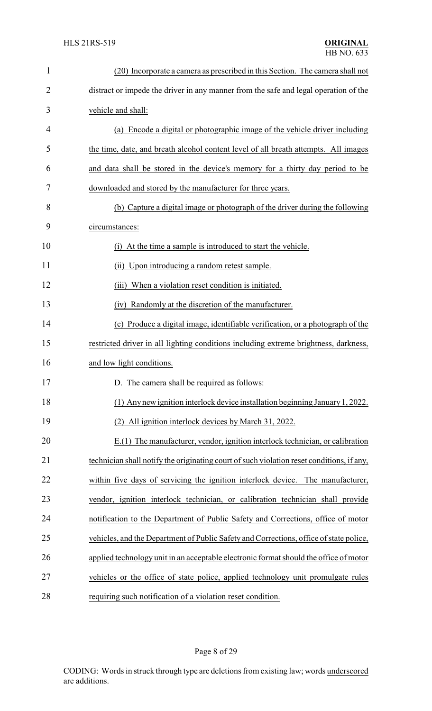| 1              | (20) Incorporate a camera as prescribed in this Section. The camera shall not             |
|----------------|-------------------------------------------------------------------------------------------|
| $\overline{2}$ | distract or impede the driver in any manner from the safe and legal operation of the      |
| 3              | vehicle and shall:                                                                        |
| 4              | (a) Encode a digital or photographic image of the vehicle driver including                |
| 5              | the time, date, and breath alcohol content level of all breath attempts. All images       |
| 6              | and data shall be stored in the device's memory for a thirty day period to be             |
| 7              | downloaded and stored by the manufacturer for three years.                                |
| 8              | (b) Capture a digital image or photograph of the driver during the following              |
| 9              | circumstances:                                                                            |
| 10             | (i) At the time a sample is introduced to start the vehicle.                              |
| 11             | (ii) Upon introducing a random retest sample.                                             |
| 12             | When a violation reset condition is initiated.<br>(iii)                                   |
| 13             | Randomly at the discretion of the manufacturer.<br>(iv)                                   |
| 14             | (c) Produce a digital image, identifiable verification, or a photograph of the            |
| 15             | restricted driver in all lighting conditions including extreme brightness, darkness,      |
| 16             | and low light conditions.                                                                 |
| 17             | D. The camera shall be required as follows:                                               |
| 18             | (1) Any new ignition interlock device installation beginning January 1, 2022.             |
| 19             | (2) All ignition interlock devices by March 31, 2022.                                     |
| 20             | E.(1) The manufacturer, vendor, ignition interlock technician, or calibration             |
| 21             | technician shall notify the originating court of such violation reset conditions, if any, |
| 22             | within five days of servicing the ignition interlock device. The manufacturer,            |
| 23             | vendor, ignition interlock technician, or calibration technician shall provide            |
| 24             | notification to the Department of Public Safety and Corrections, office of motor          |
| 25             | vehicles, and the Department of Public Safety and Corrections, office of state police,    |
| 26             | applied technology unit in an acceptable electronic format should the office of motor     |
| 27             | vehicles or the office of state police, applied technology unit promulgate rules          |
| 28             | requiring such notification of a violation reset condition.                               |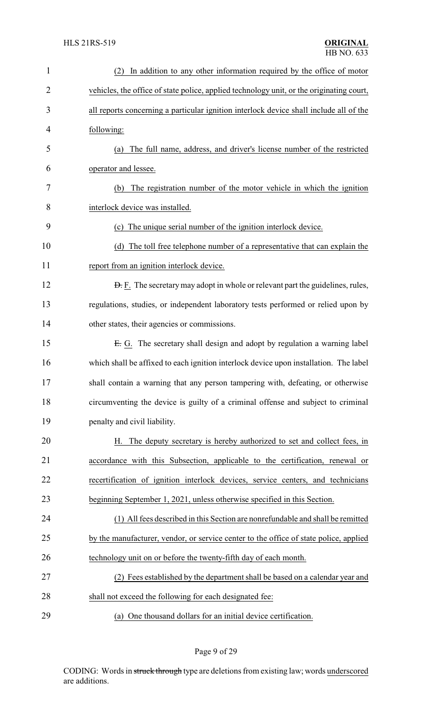| $\mathbf{1}$   | In addition to any other information required by the office of motor                     |
|----------------|------------------------------------------------------------------------------------------|
| $\overline{2}$ | vehicles, the office of state police, applied technology unit, or the originating court, |
| 3              | all reports concerning a particular ignition interlock device shall include all of the   |
| 4              | following:                                                                               |
| 5              | The full name, address, and driver's license number of the restricted<br>(a)             |
| 6              | operator and lessee.                                                                     |
| 7              | The registration number of the motor vehicle in which the ignition<br>(b)                |
| 8              | interlock device was installed.                                                          |
| 9              | The unique serial number of the ignition interlock device.<br>(c)                        |
| 10             | The toll free telephone number of a representative that can explain the<br>(d)           |
| 11             | report from an ignition interlock device.                                                |
| 12             | <b>D.</b> F. The secretary may adopt in whole or relevant part the guidelines, rules,    |
| 13             | regulations, studies, or independent laboratory tests performed or relied upon by        |
| 14             | other states, their agencies or commissions.                                             |
| 15             | E. G. The secretary shall design and adopt by regulation a warning label                 |
| 16             | which shall be affixed to each ignition interlock device upon installation. The label    |
| 17             | shall contain a warning that any person tampering with, defeating, or otherwise          |
| 18             | circumventing the device is guilty of a criminal offense and subject to criminal         |
| 19             | penalty and civil liability.                                                             |
| 20             | H. The deputy secretary is hereby authorized to set and collect fees, in                 |
| 21             | accordance with this Subsection, applicable to the certification, renewal or             |
| 22             | recertification of ignition interlock devices, service centers, and technicians          |
| 23             | beginning September 1, 2021, unless otherwise specified in this Section.                 |
| 24             | (1) All fees described in this Section are nonrefundable and shall be remitted           |
| 25             | by the manufacturer, vendor, or service center to the office of state police, applied    |
| 26             | technology unit on or before the twenty-fifth day of each month.                         |
| 27             | (2) Fees established by the department shall be based on a calendar year and             |
| 28             | shall not exceed the following for each designated fee:                                  |
| 29             | (a) One thousand dollars for an initial device certification.                            |

Page 9 of 29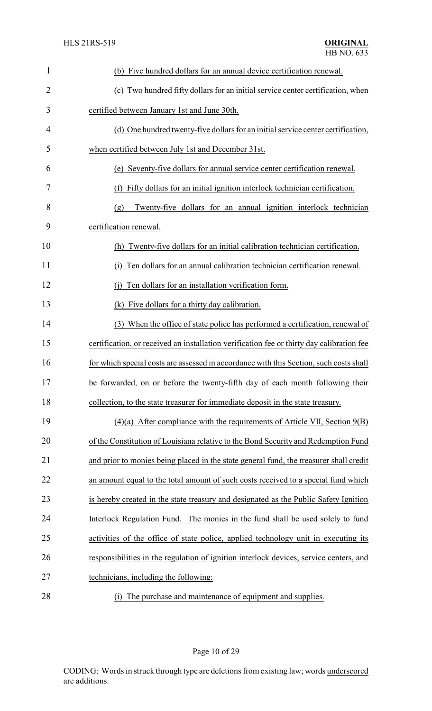| 1              | (b) Five hundred dollars for an annual device certification renewal.                      |
|----------------|-------------------------------------------------------------------------------------------|
| $\overline{2}$ | (c) Two hundred fifty dollars for an initial service center certification, when           |
| 3              | certified between January 1st and June 30th.                                              |
| 4              | (d) One hundred twenty-five dollars for an initial service center certification,          |
| 5              | when certified between July 1st and December 31st.                                        |
| 6              | (e) Seventy-five dollars for annual service center certification renewal.                 |
| 7              | Fifty dollars for an initial ignition interlock technician certification.<br>(f)          |
| 8              | Twenty-five dollars for an annual ignition interlock technician<br>(g)                    |
| 9              | certification renewal.                                                                    |
| 10             | (h) Twenty-five dollars for an initial calibration technician certification.              |
| 11             | Ten dollars for an annual calibration technician certification renewal.<br>(1)            |
| 12             | Ten dollars for an installation verification form.<br>(i)                                 |
| 13             | (k) Five dollars for a thirty day calibration.                                            |
| 14             | (3) When the office of state police has performed a certification, renewal of             |
| 15             | certification, or received an installation verification fee or thirty day calibration fee |
| 16             | for which special costs are assessed in accordance with this Section, such costs shall    |
| 17             | be forwarded, on or before the twenty-fifth day of each month following their             |
| 18             | collection, to the state treasurer for immediate deposit in the state treasury.           |
| 19             | $(4)(a)$ After compliance with the requirements of Article VII, Section $9(B)$            |
| 20             | of the Constitution of Louisiana relative to the Bond Security and Redemption Fund        |
| 21             | and prior to monies being placed in the state general fund, the treasurer shall credit    |
| 22             | an amount equal to the total amount of such costs received to a special fund which        |
| 23             | is hereby created in the state treasury and designated as the Public Safety Ignition      |
| 24             | Interlock Regulation Fund. The monies in the fund shall be used solely to fund            |
| 25             | activities of the office of state police, applied technology unit in executing its        |
| 26             | responsibilities in the regulation of ignition interlock devices, service centers, and    |
| 27             | technicians, including the following:                                                     |
| 28             | The purchase and maintenance of equipment and supplies.<br>(i)                            |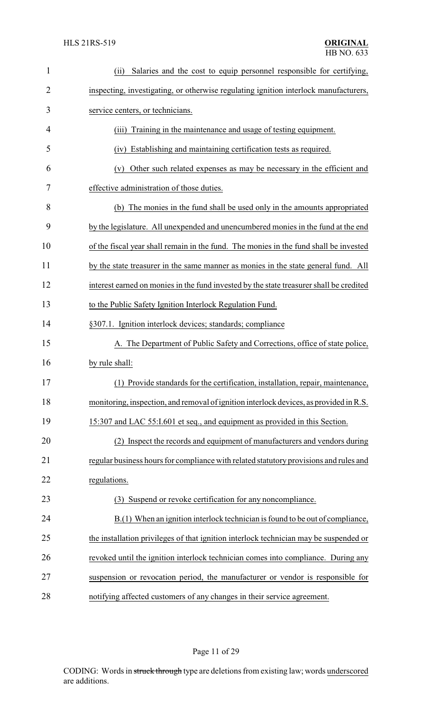| $\mathbf{1}$   | Salaries and the cost to equip personnel responsible for certifying,<br>(ii)            |
|----------------|-----------------------------------------------------------------------------------------|
| $\overline{2}$ | inspecting, investigating, or otherwise regulating ignition interlock manufacturers,    |
| 3              | service centers, or technicians.                                                        |
| 4              | Training in the maintenance and usage of testing equipment.<br>(iii)                    |
| 5              | Establishing and maintaining certification tests as required.<br>(iv)                   |
| 6              | Other such related expenses as may be necessary in the efficient and<br>(v)             |
| 7              | effective administration of those duties.                                               |
| 8              | (b) The monies in the fund shall be used only in the amounts appropriated               |
| 9              | by the legislature. All unexpended and unencumbered monies in the fund at the end       |
| 10             | of the fiscal year shall remain in the fund. The monies in the fund shall be invested   |
| 11             | by the state treasurer in the same manner as monies in the state general fund. All      |
| 12             | interest earned on monies in the fund invested by the state treasurer shall be credited |
| 13             | to the Public Safety Ignition Interlock Regulation Fund.                                |
| 14             | §307.1. Ignition interlock devices; standards; compliance                               |
| 15             | A. The Department of Public Safety and Corrections, office of state police,             |
| 16             | by rule shall:                                                                          |
| 17             | (1) Provide standards for the certification, installation, repair, maintenance,         |
| 18             | monitoring, inspection, and removal of ignition interlock devices, as provided in R.S.  |
| 19             | 15:307 and LAC 55:1.601 et seq., and equipment as provided in this Section.             |
| 20             | Inspect the records and equipment of manufacturers and vendors during                   |
| 21             | regular business hours for compliance with related statutory provisions and rules and   |
| 22             | regulations.                                                                            |
| 23             | (3) Suspend or revoke certification for any noncompliance.                              |
| 24             | B.(1) When an ignition interlock technician is found to be out of compliance,           |
| 25             | the installation privileges of that ignition interlock technician may be suspended or   |
| 26             | revoked until the ignition interlock technician comes into compliance. During any       |
| 27             | suspension or revocation period, the manufacturer or vendor is responsible for          |
| 28             | notifying affected customers of any changes in their service agreement.                 |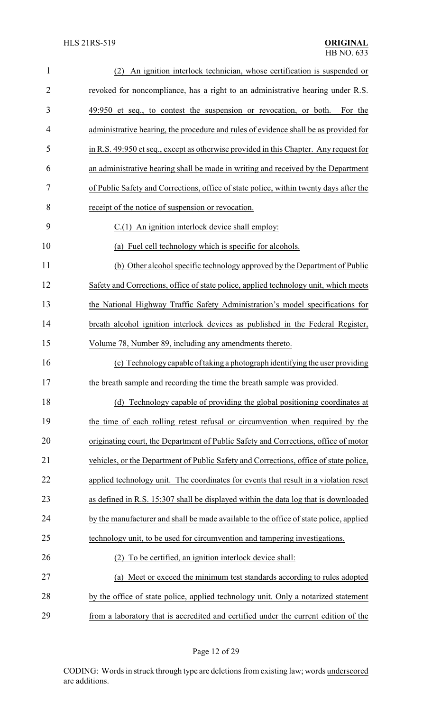| $\mathbf{1}$   | An ignition interlock technician, whose certification is suspended or<br>(2)           |
|----------------|----------------------------------------------------------------------------------------|
| $\overline{2}$ | revoked for noncompliance, has a right to an administrative hearing under R.S.         |
| 3              | 49:950 et seq., to contest the suspension or revocation, or both.<br>For the           |
| $\overline{4}$ | administrative hearing, the procedure and rules of evidence shall be as provided for   |
| 5              | in R.S. 49:950 et seq., except as otherwise provided in this Chapter. Any request for  |
| 6              | an administrative hearing shall be made in writing and received by the Department      |
| 7              | of Public Safety and Corrections, office of state police, within twenty days after the |
| 8              | receipt of the notice of suspension or revocation.                                     |
| 9              | C.(1) An ignition interlock device shall employ:                                       |
| 10             | (a) Fuel cell technology which is specific for alcohols.                               |
| 11             | (b) Other alcohol specific technology approved by the Department of Public             |
| 12             | Safety and Corrections, office of state police, applied technology unit, which meets   |
| 13             | the National Highway Traffic Safety Administration's model specifications for          |
| 14             | breath alcohol ignition interlock devices as published in the Federal Register,        |
| 15             | Volume 78, Number 89, including any amendments thereto.                                |
| 16             | (c) Technology capable of taking a photograph identifying the user providing           |
| 17             | the breath sample and recording the time the breath sample was provided.               |
| 18             | (d) Technology capable of providing the global positioning coordinates at              |
| 19             | the time of each rolling retest refusal or circumvention when required by the          |
| 20             | originating court, the Department of Public Safety and Corrections, office of motor    |
| 21             | vehicles, or the Department of Public Safety and Corrections, office of state police,  |
| 22             | applied technology unit. The coordinates for events that result in a violation reset   |
| 23             | as defined in R.S. 15:307 shall be displayed within the data log that is downloaded    |
| 24             | by the manufacturer and shall be made available to the office of state police, applied |
| 25             | technology unit, to be used for circumvention and tampering investigations.            |
| 26             | To be certified, an ignition interlock device shall:                                   |
| 27             | (a) Meet or exceed the minimum test standards according to rules adopted               |
| 28             | by the office of state police, applied technology unit. Only a notarized statement     |
| 29             | from a laboratory that is accredited and certified under the current edition of the    |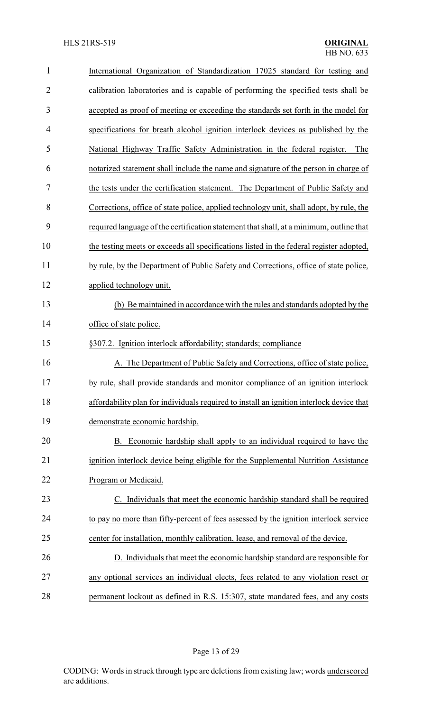| $\mathbf{1}$   | International Organization of Standardization 17025 standard for testing and             |
|----------------|------------------------------------------------------------------------------------------|
| $\overline{2}$ | calibration laboratories and is capable of performing the specified tests shall be       |
| 3              | accepted as proof of meeting or exceeding the standards set forth in the model for       |
| $\overline{4}$ | specifications for breath alcohol ignition interlock devices as published by the         |
| 5              | National Highway Traffic Safety Administration in the federal register.<br>The           |
| 6              | notarized statement shall include the name and signature of the person in charge of      |
| 7              | the tests under the certification statement. The Department of Public Safety and         |
| 8              | Corrections, office of state police, applied technology unit, shall adopt, by rule, the  |
| 9              | required language of the certification statement that shall, at a minimum, outline that  |
| 10             | the testing meets or exceeds all specifications listed in the federal register adopted,  |
| 11             | by rule, by the Department of Public Safety and Corrections, office of state police,     |
| 12             | applied technology unit.                                                                 |
| 13             | (b) Be maintained in accordance with the rules and standards adopted by the              |
| 14             | office of state police.                                                                  |
| 15             | §307.2. Ignition interlock affordability; standards; compliance                          |
| 16             | A. The Department of Public Safety and Corrections, office of state police,              |
| 17             | by rule, shall provide standards and monitor compliance of an ignition interlock         |
| 18             | affordability plan for individuals required to install an ignition interlock device that |
| 19             | demonstrate economic hardship.                                                           |
| 20             | Economic hardship shall apply to an individual required to have the<br>В.                |
| 21             | ignition interlock device being eligible for the Supplemental Nutrition Assistance       |
| 22             | Program or Medicaid.                                                                     |
| 23             | C. Individuals that meet the economic hardship standard shall be required                |
| 24             | to pay no more than fifty-percent of fees assessed by the ignition interlock service     |
| 25             | center for installation, monthly calibration, lease, and removal of the device.          |
| 26             | D. Individuals that meet the economic hardship standard are responsible for              |
| 27             |                                                                                          |
|                | any optional services an individual elects, fees related to any violation reset or       |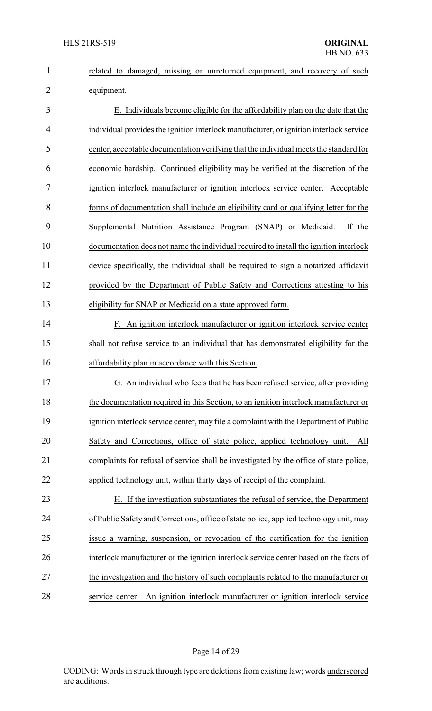|            |  |  | related to damaged, missing or unreturned equipment, and recovery of such |  |  |
|------------|--|--|---------------------------------------------------------------------------|--|--|
| equipment. |  |  |                                                                           |  |  |

 E. Individuals become eligible for the affordability plan on the date that the individual provides the ignition interlock manufacturer, or ignition interlock service center, acceptable documentation verifying that the individual meets the standard for economic hardship. Continued eligibility may be verified at the discretion of the ignition interlock manufacturer or ignition interlock service center. Acceptable forms of documentation shall include an eligibility card or qualifying letter for the Supplemental Nutrition Assistance Program (SNAP) or Medicaid. If the documentation does not name the individual required to install the ignition interlock device specifically, the individual shall be required to sign a notarized affidavit provided by the Department of Public Safety and Corrections attesting to his eligibility for SNAP or Medicaid on a state approved form.

 F. An ignition interlock manufacturer or ignition interlock service center shall not refuse service to an individual that has demonstrated eligibility for the affordability plan in accordance with this Section.

 G. An individual who feels that he has been refused service, after providing 18 the documentation required in this Section, to an ignition interlock manufacturer or ignition interlock service center, may file a complaint with the Department of Public Safety and Corrections, office of state police, applied technology unit. All complaints for refusal of service shall be investigated by the office of state police, applied technology unit, within thirty days of receipt of the complaint.

 H. If the investigation substantiates the refusal of service, the Department of Public Safety and Corrections, office of state police, applied technology unit, may issue a warning, suspension, or revocation of the certification for the ignition interlock manufacturer or the ignition interlock service center based on the facts of the investigation and the history of such complaints related to the manufacturer or service center. An ignition interlock manufacturer or ignition interlock service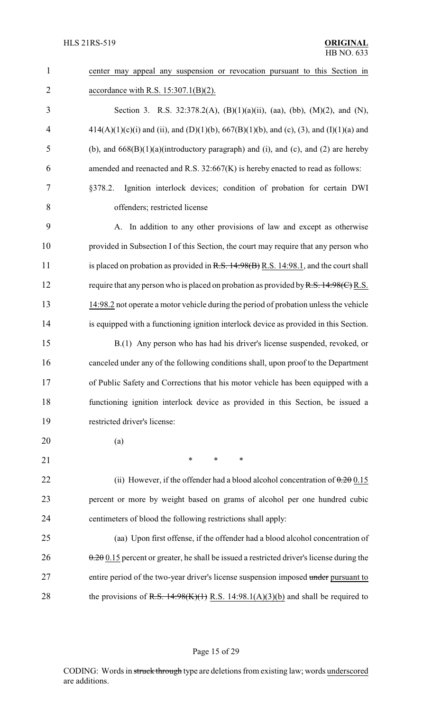| $\mathbf{1}$   | center may appeal any suspension or revocation pursuant to this Section in                |
|----------------|-------------------------------------------------------------------------------------------|
| $\overline{2}$ | accordance with R.S. $15:307.1(B)(2)$ .                                                   |
| 3              | Section 3. R.S. 32:378.2(A), (B)(1)(a)(ii), (aa), (bb), (M)(2), and (N),                  |
| $\overline{4}$ | $414(A)(1)(c)(i)$ and (ii), and (D)(1)(b), 667(B)(1)(b), and (c), (3), and (I)(1)(a) and  |
| 5              | (b), and $668(B)(1)(a)$ (introductory paragraph) and (i), and (c), and (2) are hereby     |
| 6              | amended and reenacted and R.S. 32:667(K) is hereby enacted to read as follows:            |
| 7              | Ignition interlock devices; condition of probation for certain DWI<br>§378.2.             |
| 8              | offenders; restricted license                                                             |
| 9              | A. In addition to any other provisions of law and except as otherwise                     |
| 10             | provided in Subsection I of this Section, the court may require that any person who       |
| 11             | is placed on probation as provided in $R.S. 14.98(B) R.S. 14.98.1$ , and the court shall  |
| 12             | require that any person who is placed on probation as provided by R.S. 14:98(C) R.S.      |
| 13             | 14:98.2 not operate a motor vehicle during the period of probation unless the vehicle     |
| 14             | is equipped with a functioning ignition interlock device as provided in this Section.     |
| 15             | B.(1) Any person who has had his driver's license suspended, revoked, or                  |
| 16             | canceled under any of the following conditions shall, upon proof to the Department        |
| 17             | of Public Safety and Corrections that his motor vehicle has been equipped with a          |
| 18             | functioning ignition interlock device as provided in this Section, be issued a            |
| 19             | restricted driver's license:                                                              |
| 20             | (a)                                                                                       |
| 21             | ∗<br>∗<br>$\ast$                                                                          |
| 22             | (ii) However, if the offender had a blood alcohol concentration of $0.20015$              |
| 23             | percent or more by weight based on grams of alcohol per one hundred cubic                 |
| 24             | centimeters of blood the following restrictions shall apply:                              |
| 25             | (aa) Upon first offense, if the offender had a blood alcohol concentration of             |
| 26             | $0.20015$ percent or greater, he shall be issued a restricted driver's license during the |
| 27             | entire period of the two-year driver's license suspension imposed under pursuant to       |
| 28             | the provisions of R.S. $14:98(K)(1)$ R.S. $14:98.1(A)(3)(b)$ and shall be required to     |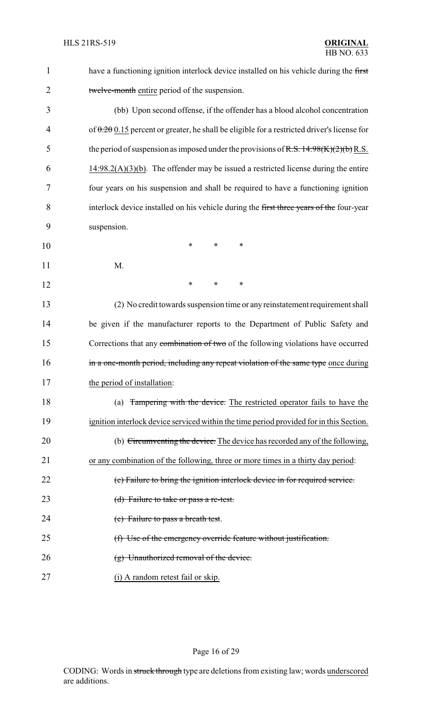| 1              | have a functioning ignition interlock device installed on his vehicle during the first         |
|----------------|------------------------------------------------------------------------------------------------|
| $\overline{2}$ | twelve-month entire period of the suspension.                                                  |
| 3              | (bb) Upon second offense, if the offender has a blood alcohol concentration                    |
| 4              | of $0.200$ . 15 percent or greater, he shall be eligible for a restricted driver's license for |
| 5              | the period of suspension as imposed under the provisions of R.S. $14:98(K)(2)(b)$ R.S.         |
| 6              | $14:98.2(A)(3)(b)$ . The offender may be issued a restricted license during the entire         |
| 7              | four years on his suspension and shall be required to have a functioning ignition              |
| 8              | interlock device installed on his vehicle during the first three years of the four-year        |
| 9              | suspension.                                                                                    |
| 10             | $\ast$<br>$\ast$<br>$\ast$                                                                     |
| 11             | M.                                                                                             |
| 12             | $\ast$<br>*<br>$\ast$                                                                          |
| 13             | (2) No credit towards suspension time or any reinstatement requirement shall                   |
| 14             | be given if the manufacturer reports to the Department of Public Safety and                    |
| 15             | Corrections that any combination of two of the following violations have occurred              |
| 16             | in a one-month period, including any repeat violation of the same type once during             |
| 17             | the period of installation:                                                                    |
| 18             | (a) Tampering with the device. The restricted operator fails to have the                       |
| 19             | ignition interlock device serviced within the time period provided for in this Section.        |
| 20             | (b) Circumventing the device. The device has recorded any of the following,                    |
| 21             | or any combination of the following, three or more times in a thirty day period:               |
| 22             | (c) Failure to bring the ignition interlock device in for required service.                    |
| 23             | (d) Failure to take or pass a re-test.                                                         |
| 24             | (e) Failure to pass a breath test.                                                             |
| 25             | (f) Use of the emergency override feature without justification.                               |
| 26             | $(g)$ Unauthorized removal of the device.                                                      |
| 27             | (i) A random retest fail or skip.                                                              |

Page 16 of 29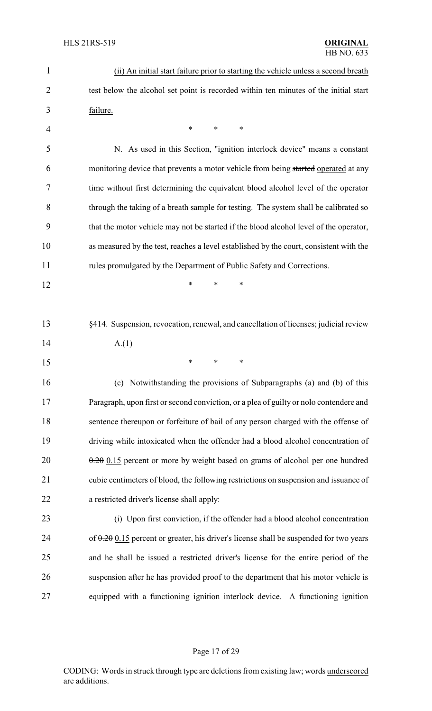| $\mathbf{1}$   | (ii) An initial start failure prior to starting the vehicle unless a second breath       |
|----------------|------------------------------------------------------------------------------------------|
| $\overline{2}$ | test below the alcohol set point is recorded within ten minutes of the initial start     |
| 3              | failure.                                                                                 |
| $\overline{4}$ | ∗<br>*<br>∗                                                                              |
| 5              | N. As used in this Section, "ignition interlock device" means a constant                 |
| 6              | monitoring device that prevents a motor vehicle from being started operated at any       |
| 7              | time without first determining the equivalent blood alcohol level of the operator        |
| 8              | through the taking of a breath sample for testing. The system shall be calibrated so     |
| 9              | that the motor vehicle may not be started if the blood alcohol level of the operator,    |
| 10             | as measured by the test, reaches a level established by the court, consistent with the   |
| 11             | rules promulgated by the Department of Public Safety and Corrections.                    |
| 12             | *<br>*<br>*                                                                              |
|                |                                                                                          |
| 13             | §414. Suspension, revocation, renewal, and cancellation of licenses; judicial review     |
| 14             | A(1)                                                                                     |
| 15             | $\ast$<br>∗<br>∗                                                                         |
| 16             | (c) Notwithstanding the provisions of Subparagraphs (a) and (b) of this                  |
| 17             | Paragraph, upon first or second conviction, or a plea of guilty or nolo contendere and   |
| 18             | sentence thereupon or forfeiture of bail of any person charged with the offense of       |
| 19             | driving while intoxicated when the offender had a blood alcohol concentration of         |
| 20             | $0.20$ 0.15 percent or more by weight based on grams of alcohol per one hundred          |
| 21             | cubic centimeters of blood, the following restrictions on suspension and issuance of     |
| 22             | a restricted driver's license shall apply:                                               |
| 23             | (i) Upon first conviction, if the offender had a blood alcohol concentration             |
| 24             | of $0.20$ 0.15 percent or greater, his driver's license shall be suspended for two years |
| 25             | and he shall be issued a restricted driver's license for the entire period of the        |
| 26             | suspension after he has provided proof to the department that his motor vehicle is       |
| 27             | equipped with a functioning ignition interlock device. A functioning ignition            |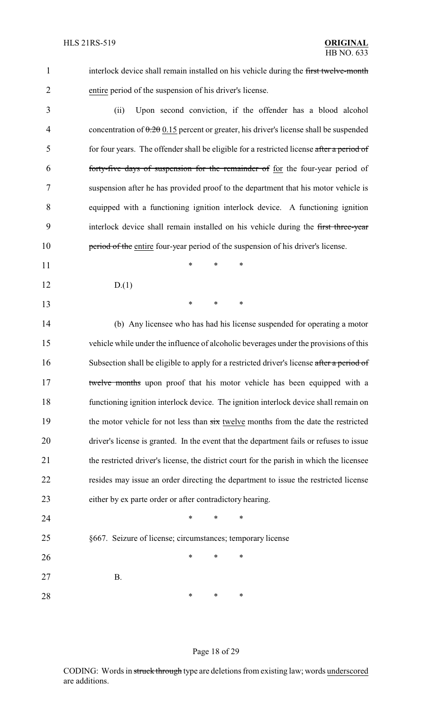1 interlock device shall remain installed on his vehicle during the first twelve-month entire period of the suspension of his driver's license.

 (ii) Upon second conviction, if the offender has a blood alcohol 4 concentration of  $0.20 \times 0.15$  percent or greater, his driver's license shall be suspended 5 for four years. The offender shall be eligible for a restricted license after a period of forty-five days of suspension for the remainder of for the four-year period of suspension after he has provided proof to the department that his motor vehicle is equipped with a functioning ignition interlock device. A functioning ignition 9 interlock device shall remain installed on his vehicle during the first three-year **period of the entire four-year period of the suspension of his driver's license.** 

- **\*** \* \* \*
- D.(1)

\* \* \*

 (b) Any licensee who has had his license suspended for operating a motor vehicle while under the influence of alcoholic beverages under the provisions of this 16 Subsection shall be eligible to apply for a restricted driver's license after a period of 17 twelve months upon proof that his motor vehicle has been equipped with a functioning ignition interlock device. The ignition interlock device shall remain on 19 the motor vehicle for not less than  $\frac{1}{x}$  twelve months from the date the restricted driver's license is granted. In the event that the department fails or refuses to issue 21 the restricted driver's license, the district court for the parish in which the licensee resides may issue an order directing the department to issue the restricted license either by ex parte order or after contradictory hearing.

# §667. Seizure of license; circumstances; temporary license **\*** \* \* \*

B.

**\*** \* \* \*

**\*** \* \* \*

### Page 18 of 29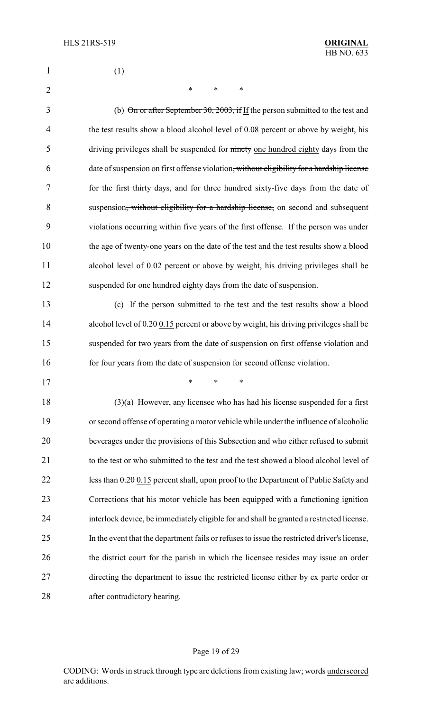| $\mathbf{1}$   | (1)                                                                                                   |
|----------------|-------------------------------------------------------------------------------------------------------|
| $\overline{2}$ | *<br>*<br>*                                                                                           |
| 3              | (b) On or after September 30, 2003, if If the person submitted to the test and                        |
| 4              | the test results show a blood alcohol level of 0.08 percent or above by weight, his                   |
| 5              | driving privileges shall be suspended for ninety one hundred eighty days from the                     |
| 6              | date of suspension on first offense violation <del>, without eligibility for a hardship license</del> |
| 7              | for the first thirty days, and for three hundred sixty-five days from the date of                     |
| 8              | suspension, without eligibility for a hardship license, on second and subsequent                      |
| 9              | violations occurring within five years of the first offense. If the person was under                  |
| 10             | the age of twenty-one years on the date of the test and the test results show a blood                 |
| 11             | alcohol level of 0.02 percent or above by weight, his driving privileges shall be                     |
| 12             | suspended for one hundred eighty days from the date of suspension.                                    |
| 13             | (c) If the person submitted to the test and the test results show a blood                             |
| 14             | alcohol level of $0.20015$ percent or above by weight, his driving privileges shall be                |
| 15             | suspended for two years from the date of suspension on first offense violation and                    |
| 16             | for four years from the date of suspension for second offense violation.                              |
| 17             | ∗<br>∗<br>∗                                                                                           |
| 18             | $(3)(a)$ However, any licensee who has had his license suspended for a first                          |
| 19             | or second offense of operating a motor vehicle while under the influence of alcoholic                 |
| 20             | beverages under the provisions of this Subsection and who either refused to submit                    |
| 21             | to the test or who submitted to the test and the test showed a blood alcohol level of                 |
| 22             | less than $0.20$ 0.15 percent shall, upon proof to the Department of Public Safety and                |
| 23             | Corrections that his motor vehicle has been equipped with a functioning ignition                      |
| 24             | interlock device, be immediately eligible for and shall be granted a restricted license.              |
| 25             | In the event that the department fails or refuses to issue the restricted driver's license,           |
| 26             | the district court for the parish in which the licensee resides may issue an order                    |
| 27             | directing the department to issue the restricted license either by ex parte order or                  |
| 28             | after contradictory hearing.                                                                          |

## Page 19 of 29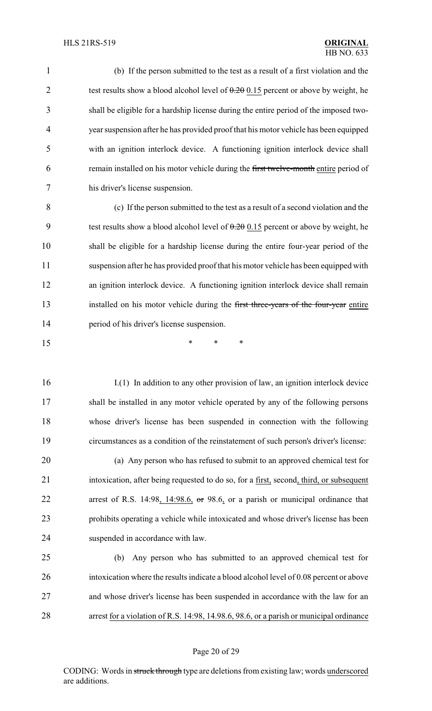(b) If the person submitted to the test as a result of a first violation and the 2 test results show a blood alcohol level of  $0.20015$  percent or above by weight, he shall be eligible for a hardship license during the entire period of the imposed two- year suspension after he has provided proof that his motor vehicle has been equipped with an ignition interlock device. A functioning ignition interlock device shall 6 remain installed on his motor vehicle during the first twelve-month entire period of his driver's license suspension.

 (c) If the person submitted to the test as a result of a second violation and the 9 test results show a blood alcohol level of  $0.20015$  percent or above by weight, he shall be eligible for a hardship license during the entire four-year period of the suspension after he has provided proof that his motor vehicle has been equipped with an ignition interlock device. A functioning ignition interlock device shall remain 13 installed on his motor vehicle during the first three-years of the four-year entire period of his driver's license suspension.

\* \* \*

 I.(1) In addition to any other provision of law, an ignition interlock device shall be installed in any motor vehicle operated by any of the following persons whose driver's license has been suspended in connection with the following circumstances as a condition of the reinstatement of such person's driver's license:

 (a) Any person who has refused to submit to an approved chemical test for intoxication, after being requested to do so, for a first, second, third, or subsequent arrest of R.S. 14:98, 14:98.6, or 98.6, or a parish or municipal ordinance that prohibits operating a vehicle while intoxicated and whose driver's license has been suspended in accordance with law.

 (b) Any person who has submitted to an approved chemical test for intoxication where the results indicate a blood alcohol level of 0.08 percent or above and whose driver's license has been suspended in accordance with the law for an arrest for a violation of R.S. 14:98, 14.98.6, 98.6, or a parish or municipal ordinance

#### Page 20 of 29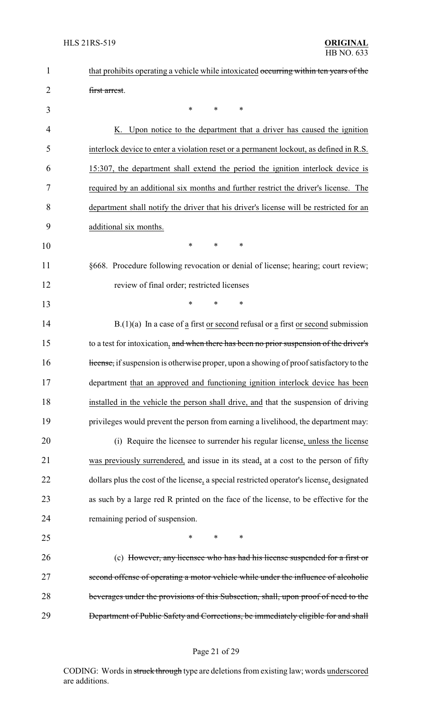| $\mathbf 1$ | that prohibits operating a vehicle while intoxicated occurring within ten years of the    |
|-------------|-------------------------------------------------------------------------------------------|
| 2           | first arrest.                                                                             |
| 3           | $\ast$<br>$\ast$<br>∗                                                                     |
| 4           | K. Upon notice to the department that a driver has caused the ignition                    |
| 5           | interlock device to enter a violation reset or a permanent lockout, as defined in R.S.    |
| 6           | 15:307, the department shall extend the period the ignition interlock device is           |
| 7           | required by an additional six months and further restrict the driver's license. The       |
| 8           | department shall notify the driver that his driver's license will be restricted for an    |
| 9           | additional six months.                                                                    |
| 10          | $\ast$<br>$\ast$<br>$\ast$                                                                |
| 11          | §668. Procedure following revocation or denial of license; hearing; court review;         |
| 12          | review of final order; restricted licenses                                                |
| 13          | $\ast$<br>$\ast$<br>∗                                                                     |
| 14          | $B(1)(a)$ In a case of a first or second refusal or a first or second submission          |
| 15          | to a test for intoxication, and when there has been no prior suspension of the driver's   |
| 16          | Hicense, if suspension is otherwise proper, upon a showing of proof satisfactory to the   |
| 17          | department that an approved and functioning ignition interlock device has been            |
| 18          | installed in the vehicle the person shall drive, and that the suspension of driving       |
| 19          | privileges would prevent the person from earning a livelihood, the department may:        |
| 20          | (i) Require the licensee to surrender his regular license, unless the license             |
| 21          | was previously surrendered, and issue in its stead, at a cost to the person of fifty      |
| 22          | dollars plus the cost of the license, a special restricted operator's license, designated |
| 23          | as such by a large red R printed on the face of the license, to be effective for the      |
| 24          | remaining period of suspension.                                                           |
| 25          | $\ast$<br>$\ast$<br>*                                                                     |
| 26          | (c) However, any licensee who has had his license suspended for a first or                |
| 27          | second offense of operating a motor vehicle while under the influence of alcoholic        |
| 28          | beverages under the provisions of this Subsection, shall, upon proof of need to the       |
| 29          | Department of Public Safety and Corrections, be immediately eligible for and shall        |

## Page 21 of 29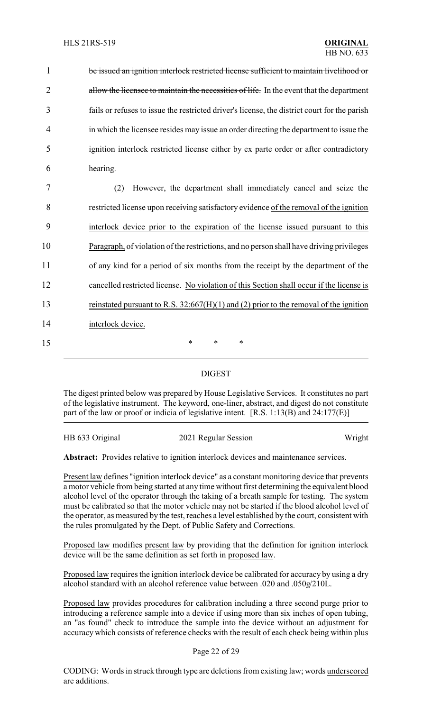be issued an ignition interlock restricted license sufficient to maintain livelihood or 2 allow the licensee to maintain the necessities of life. In the event that the department fails or refuses to issue the restricted driver's license, the district court for the parish in which the licensee resides may issue an order directing the department to issue the ignition interlock restricted license either by ex parte order or after contradictory 6 hearing. (2) However, the department shall immediately cancel and seize the restricted license upon receiving satisfactory evidence of the removal of the ignition interlock device prior to the expiration of the license issued pursuant to this Paragraph, of violation of the restrictions, and no person shall have driving privileges of any kind for a period of six months from the receipt by the department of the cancelled restricted license. No violation of this Section shall occur if the license is reinstated pursuant to R.S. 32:667(H)(1) and (2) prior to the removal of the ignition interlock device. 15 \* \* \*

## DIGEST

The digest printed below was prepared by House Legislative Services. It constitutes no part of the legislative instrument. The keyword, one-liner, abstract, and digest do not constitute part of the law or proof or indicia of legislative intent. [R.S. 1:13(B) and 24:177(E)]

| HB 633 Original | 2021 Regular Session | Wright |
|-----------------|----------------------|--------|
|                 |                      |        |

**Abstract:** Provides relative to ignition interlock devices and maintenance services.

Present law defines "ignition interlock device" as a constant monitoring device that prevents a motor vehicle from being started at any time without first determining the equivalent blood alcohol level of the operator through the taking of a breath sample for testing. The system must be calibrated so that the motor vehicle may not be started if the blood alcohol level of the operator, as measured by the test, reaches a level established by the court, consistent with the rules promulgated by the Dept. of Public Safety and Corrections.

Proposed law modifies present law by providing that the definition for ignition interlock device will be the same definition as set forth in proposed law.

Proposed law requires the ignition interlock device be calibrated for accuracy by using a dry alcohol standard with an alcohol reference value between .020 and .050g/210L.

Proposed law provides procedures for calibration including a three second purge prior to introducing a reference sample into a device if using more than six inches of open tubing, an "as found" check to introduce the sample into the device without an adjustment for accuracy which consists of reference checks with the result of each check being within plus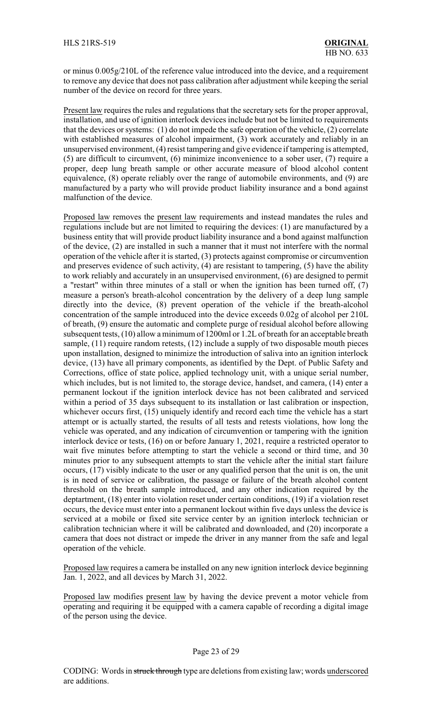or minus 0.005g/210L of the reference value introduced into the device, and a requirement to remove any device that does not pass calibration after adjustment while keeping the serial number of the device on record for three years.

Present law requires the rules and regulations that the secretary sets for the proper approval, installation, and use of ignition interlock devices include but not be limited to requirements that the devices or systems: (1) do not impede the safe operation of the vehicle, (2) correlate with established measures of alcohol impairment, (3) work accurately and reliably in an unsupervised environment, (4) resist tampering and give evidence if tampering is attempted, (5) are difficult to circumvent, (6) minimize inconvenience to a sober user, (7) require a proper, deep lung breath sample or other accurate measure of blood alcohol content equivalence, (8) operate reliably over the range of automobile environments, and (9) are manufactured by a party who will provide product liability insurance and a bond against malfunction of the device.

Proposed law removes the present law requirements and instead mandates the rules and regulations include but are not limited to requiring the devices: (1) are manufactured by a business entity that will provide product liability insurance and a bond against malfunction of the device, (2) are installed in such a manner that it must not interfere with the normal operation of the vehicle after it is started, (3) protects against compromise or circumvention and preserves evidence of such activity, (4) are resistant to tampering, (5) have the ability to work reliably and accurately in an unsupervised environment, (6) are designed to permit a "restart" within three minutes of a stall or when the ignition has been turned off, (7) measure a person's breath-alcohol concentration by the delivery of a deep lung sample directly into the device, (8) prevent operation of the vehicle if the breath-alcohol concentration of the sample introduced into the device exceeds 0.02g of alcohol per 210L of breath, (9) ensure the automatic and complete purge of residual alcohol before allowing subsequent tests, (10) allow a minimum of 1200ml or 1.2L of breath for an acceptable breath sample, (11) require random retests, (12) include a supply of two disposable mouth pieces upon installation, designed to minimize the introduction of saliva into an ignition interlock device, (13) have all primary components, as identified by the Dept. of Public Safety and Corrections, office of state police, applied technology unit, with a unique serial number, which includes, but is not limited to, the storage device, handset, and camera, (14) enter a permanent lockout if the ignition interlock device has not been calibrated and serviced within a period of 35 days subsequent to its installation or last calibration or inspection, whichever occurs first, (15) uniquely identify and record each time the vehicle has a start attempt or is actually started, the results of all tests and retests violations, how long the vehicle was operated, and any indication of circumvention or tampering with the ignition interlock device or tests, (16) on or before January 1, 2021, require a restricted operator to wait five minutes before attempting to start the vehicle a second or third time, and 30 minutes prior to any subsequent attempts to start the vehicle after the initial start failure occurs, (17) visibly indicate to the user or any qualified person that the unit is on, the unit is in need of service or calibration, the passage or failure of the breath alcohol content threshold on the breath sample introduced, and any other indication required by the deptartment, (18) enter into violation reset under certain conditions, (19) if a violation reset occurs, the device must enter into a permanent lockout within five days unless the device is serviced at a mobile or fixed site service center by an ignition interlock technician or calibration technician where it will be calibrated and downloaded, and (20) incorporate a camera that does not distract or impede the driver in any manner from the safe and legal operation of the vehicle.

Proposed law requires a camera be installed on any new ignition interlock device beginning Jan. 1, 2022, and all devices by March 31, 2022.

Proposed law modifies present law by having the device prevent a motor vehicle from operating and requiring it be equipped with a camera capable of recording a digital image of the person using the device.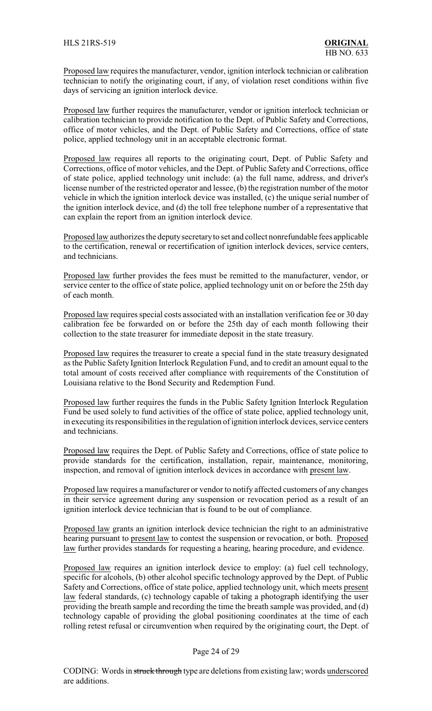Proposed law requires the manufacturer, vendor, ignition interlock technician or calibration technician to notify the originating court, if any, of violation reset conditions within five days of servicing an ignition interlock device.

Proposed law further requires the manufacturer, vendor or ignition interlock technician or calibration technician to provide notification to the Dept. of Public Safety and Corrections, office of motor vehicles, and the Dept. of Public Safety and Corrections, office of state police, applied technology unit in an acceptable electronic format.

Proposed law requires all reports to the originating court, Dept. of Public Safety and Corrections, office of motor vehicles, and the Dept. of Public Safety and Corrections, office of state police, applied technology unit include: (a) the full name, address, and driver's license number of the restricted operator and lessee, (b) the registration number of the motor vehicle in which the ignition interlock device was installed, (c) the unique serial number of the ignition interlock device, and (d) the toll free telephone number of a representative that can explain the report from an ignition interlock device.

Proposed law authorizes the deputy secretary to set and collect nonrefundable fees applicable to the certification, renewal or recertification of ignition interlock devices, service centers, and technicians.

Proposed law further provides the fees must be remitted to the manufacturer, vendor, or service center to the office of state police, applied technology unit on or before the 25th day of each month.

Proposed law requires special costs associated with an installation verification fee or 30 day calibration fee be forwarded on or before the 25th day of each month following their collection to the state treasurer for immediate deposit in the state treasury.

Proposed law requires the treasurer to create a special fund in the state treasury designated as the Public Safety Ignition Interlock Regulation Fund, and to credit an amount equal to the total amount of costs received after compliance with requirements of the Constitution of Louisiana relative to the Bond Security and Redemption Fund.

Proposed law further requires the funds in the Public Safety Ignition Interlock Regulation Fund be used solely to fund activities of the office of state police, applied technology unit, in executing its responsibilities in the regulation of ignition interlock devices, service centers and technicians.

Proposed law requires the Dept. of Public Safety and Corrections, office of state police to provide standards for the certification, installation, repair, maintenance, monitoring, inspection, and removal of ignition interlock devices in accordance with present law.

Proposed law requires a manufacturer or vendor to notify affected customers of any changes in their service agreement during any suspension or revocation period as a result of an ignition interlock device technician that is found to be out of compliance.

Proposed law grants an ignition interlock device technician the right to an administrative hearing pursuant to present law to contest the suspension or revocation, or both. Proposed law further provides standards for requesting a hearing, hearing procedure, and evidence.

Proposed law requires an ignition interlock device to employ: (a) fuel cell technology, specific for alcohols, (b) other alcohol specific technology approved by the Dept. of Public Safety and Corrections, office of state police, applied technology unit, which meets present law federal standards, (c) technology capable of taking a photograph identifying the user providing the breath sample and recording the time the breath sample was provided, and (d) technology capable of providing the global positioning coordinates at the time of each rolling retest refusal or circumvention when required by the originating court, the Dept. of

### Page 24 of 29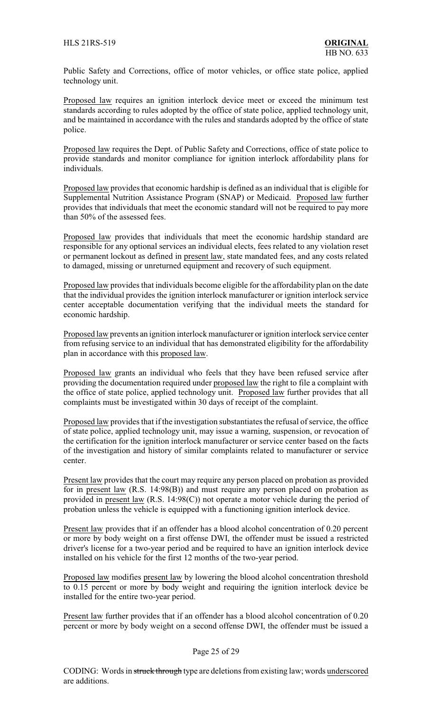Public Safety and Corrections, office of motor vehicles, or office state police, applied technology unit.

Proposed law requires an ignition interlock device meet or exceed the minimum test standards according to rules adopted by the office of state police, applied technology unit, and be maintained in accordance with the rules and standards adopted by the office of state police.

Proposed law requires the Dept. of Public Safety and Corrections, office of state police to provide standards and monitor compliance for ignition interlock affordability plans for individuals.

Proposed law provides that economic hardship is defined as an individual that is eligible for Supplemental Nutrition Assistance Program (SNAP) or Medicaid. Proposed law further provides that individuals that meet the economic standard will not be required to pay more than 50% of the assessed fees.

Proposed law provides that individuals that meet the economic hardship standard are responsible for any optional services an individual elects, fees related to any violation reset or permanent lockout as defined in present law, state mandated fees, and any costs related to damaged, missing or unreturned equipment and recovery of such equipment.

Proposed law provides that individuals become eligible for the affordability plan on the date that the individual provides the ignition interlock manufacturer or ignition interlock service center acceptable documentation verifying that the individual meets the standard for economic hardship.

Proposed law prevents an ignition interlock manufacturer or ignition interlock service center from refusing service to an individual that has demonstrated eligibility for the affordability plan in accordance with this proposed law.

Proposed law grants an individual who feels that they have been refused service after providing the documentation required under proposed law the right to file a complaint with the office of state police, applied technology unit. Proposed law further provides that all complaints must be investigated within 30 days of receipt of the complaint.

Proposed law provides that if the investigation substantiates the refusal of service, the office of state police, applied technology unit, may issue a warning, suspension, or revocation of the certification for the ignition interlock manufacturer or service center based on the facts of the investigation and history of similar complaints related to manufacturer or service center.

Present law provides that the court may require any person placed on probation as provided for in present law (R.S. 14:98(B)) and must require any person placed on probation as provided in present law (R.S. 14:98(C)) not operate a motor vehicle during the period of probation unless the vehicle is equipped with a functioning ignition interlock device.

Present law provides that if an offender has a blood alcohol concentration of 0.20 percent or more by body weight on a first offense DWI, the offender must be issued a restricted driver's license for a two-year period and be required to have an ignition interlock device installed on his vehicle for the first 12 months of the two-year period.

Proposed law modifies present law by lowering the blood alcohol concentration threshold to 0.15 percent or more by body weight and requiring the ignition interlock device be installed for the entire two-year period.

Present law further provides that if an offender has a blood alcohol concentration of 0.20 percent or more by body weight on a second offense DWI, the offender must be issued a

## Page 25 of 29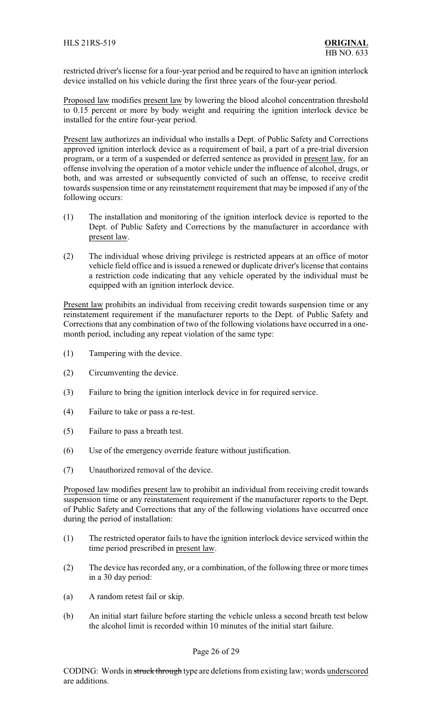restricted driver's license for a four-year period and be required to have an ignition interlock device installed on his vehicle during the first three years of the four-year period.

Proposed law modifies present law by lowering the blood alcohol concentration threshold to 0.15 percent or more by body weight and requiring the ignition interlock device be installed for the entire four-year period.

Present law authorizes an individual who installs a Dept. of Public Safety and Corrections approved ignition interlock device as a requirement of bail, a part of a pre-trial diversion program, or a term of a suspended or deferred sentence as provided in present law, for an offense involving the operation of a motor vehicle under the influence of alcohol, drugs, or both, and was arrested or subsequently convicted of such an offense, to receive credit towards suspension time or any reinstatement requirement that may be imposed if any of the following occurs:

- (1) The installation and monitoring of the ignition interlock device is reported to the Dept. of Public Safety and Corrections by the manufacturer in accordance with present law.
- (2) The individual whose driving privilege is restricted appears at an office of motor vehicle field office and is issued a renewed or duplicate driver's license that contains a restriction code indicating that any vehicle operated by the individual must be equipped with an ignition interlock device.

Present law prohibits an individual from receiving credit towards suspension time or any reinstatement requirement if the manufacturer reports to the Dept. of Public Safety and Corrections that any combination of two of the following violations have occurred in a onemonth period, including any repeat violation of the same type:

- (1) Tampering with the device.
- (2) Circumventing the device.
- (3) Failure to bring the ignition interlock device in for required service.
- (4) Failure to take or pass a re-test.
- (5) Failure to pass a breath test.
- (6) Use of the emergency override feature without justification.
- (7) Unauthorized removal of the device.

Proposed law modifies present law to prohibit an individual from receiving credit towards suspension time or any reinstatement requirement if the manufacturer reports to the Dept. of Public Safety and Corrections that any of the following violations have occurred once during the period of installation:

- (1) The restricted operator fails to have the ignition interlock device serviced within the time period prescribed in present law.
- (2) The device has recorded any, or a combination, of the following three or more times in a 30 day period:
- (a) A random retest fail or skip.
- (b) An initial start failure before starting the vehicle unless a second breath test below the alcohol limit is recorded within 10 minutes of the initial start failure.

## Page 26 of 29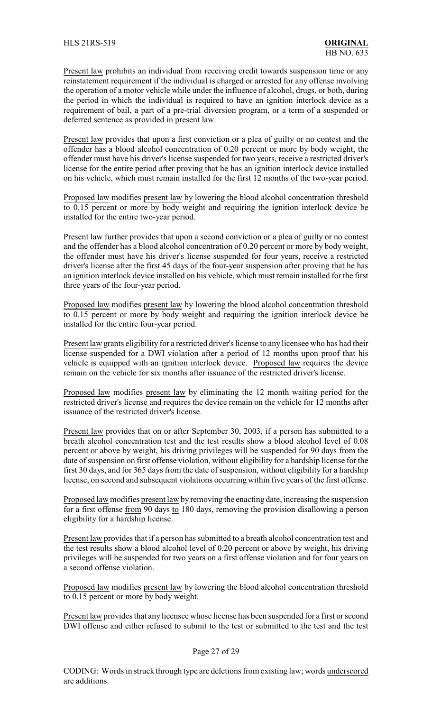Present law prohibits an individual from receiving credit towards suspension time or any reinstatement requirement if the individual is charged or arrested for any offense involving the operation of a motor vehicle while under the influence of alcohol, drugs, or both, during the period in which the individual is required to have an ignition interlock device as a requirement of bail, a part of a pre-trial diversion program, or a term of a suspended or deferred sentence as provided in present law.

Present law provides that upon a first conviction or a plea of guilty or no contest and the offender has a blood alcohol concentration of 0.20 percent or more by body weight, the offender must have his driver's license suspended for two years, receive a restricted driver's license for the entire period after proving that he has an ignition interlock device installed on his vehicle, which must remain installed for the first 12 months of the two-year period.

Proposed law modifies present law by lowering the blood alcohol concentration threshold to 0.15 percent or more by body weight and requiring the ignition interlock device be installed for the entire two-year period.

Present law further provides that upon a second conviction or a plea of guilty or no contest and the offender has a blood alcohol concentration of 0.20 percent or more by body weight, the offender must have his driver's license suspended for four years, receive a restricted driver's license after the first 45 days of the four-year suspension after proving that he has an ignition interlock device installed on his vehicle, which must remain installed for the first three years of the four-year period.

Proposed law modifies present law by lowering the blood alcohol concentration threshold to 0.15 percent or more by body weight and requiring the ignition interlock device be installed for the entire four-year period.

Present law grants eligibility for a restricted driver's license to any licensee who has had their license suspended for a DWI violation after a period of 12 months upon proof that his vehicle is equipped with an ignition interlock device. Proposed law requires the device remain on the vehicle for six months after issuance of the restricted driver's license.

Proposed law modifies present law by eliminating the 12 month waiting period for the restricted driver's license and requires the device remain on the vehicle for 12 months after issuance of the restricted driver's license.

Present law provides that on or after September 30, 2003, if a person has submitted to a breath alcohol concentration test and the test results show a blood alcohol level of 0.08 percent or above by weight, his driving privileges will be suspended for 90 days from the date of suspension on first offense violation, without eligibility for a hardship license for the first 30 days, and for 365 days from the date of suspension, without eligibility for a hardship license, on second and subsequent violations occurring within five years of the first offense.

Proposed law modifies present law by removing the enacting date, increasing the suspension for a first offense from 90 days to 180 days, removing the provision disallowing a person eligibility for a hardship license.

Present law provides that if a person has submitted to a breath alcohol concentration test and the test results show a blood alcohol level of 0.20 percent or above by weight, his driving privileges will be suspended for two years on a first offense violation and for four years on a second offense violation.

Proposed law modifies present law by lowering the blood alcohol concentration threshold to 0.15 percent or more by body weight.

Present law provides that any licensee whose license has been suspended for a first or second DWI offense and either refused to submit to the test or submitted to the test and the test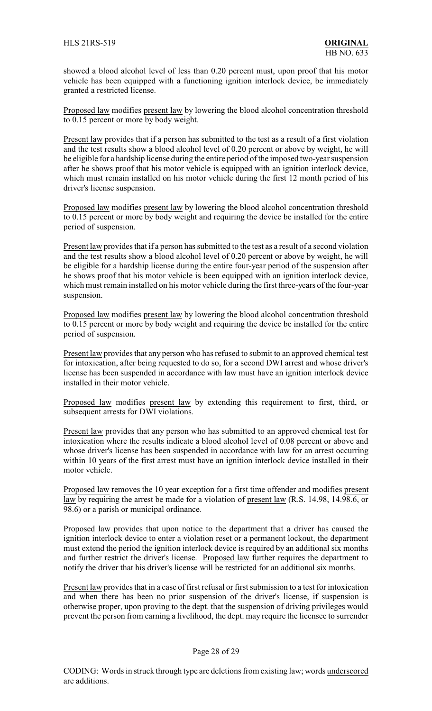showed a blood alcohol level of less than 0.20 percent must, upon proof that his motor vehicle has been equipped with a functioning ignition interlock device, be immediately granted a restricted license.

Proposed law modifies present law by lowering the blood alcohol concentration threshold to 0.15 percent or more by body weight.

Present law provides that if a person has submitted to the test as a result of a first violation and the test results show a blood alcohol level of 0.20 percent or above by weight, he will be eligible for a hardship license during the entire period of the imposed two-year suspension after he shows proof that his motor vehicle is equipped with an ignition interlock device, which must remain installed on his motor vehicle during the first 12 month period of his driver's license suspension.

Proposed law modifies present law by lowering the blood alcohol concentration threshold to 0.15 percent or more by body weight and requiring the device be installed for the entire period of suspension.

Present law provides that if a person has submitted to the test as a result of a second violation and the test results show a blood alcohol level of 0.20 percent or above by weight, he will be eligible for a hardship license during the entire four-year period of the suspension after he shows proof that his motor vehicle is been equipped with an ignition interlock device, which must remain installed on his motor vehicle during the first three-years of the four-year suspension.

Proposed law modifies present law by lowering the blood alcohol concentration threshold to 0.15 percent or more by body weight and requiring the device be installed for the entire period of suspension.

Present law provides that any person who has refused to submit to an approved chemical test for intoxication, after being requested to do so, for a second DWI arrest and whose driver's license has been suspended in accordance with law must have an ignition interlock device installed in their motor vehicle.

Proposed law modifies present law by extending this requirement to first, third, or subsequent arrests for DWI violations.

Present law provides that any person who has submitted to an approved chemical test for intoxication where the results indicate a blood alcohol level of 0.08 percent or above and whose driver's license has been suspended in accordance with law for an arrest occurring within 10 years of the first arrest must have an ignition interlock device installed in their motor vehicle.

Proposed law removes the 10 year exception for a first time offender and modifies present law by requiring the arrest be made for a violation of present law (R.S. 14.98, 14.98.6, or 98.6) or a parish or municipal ordinance.

Proposed law provides that upon notice to the department that a driver has caused the ignition interlock device to enter a violation reset or a permanent lockout, the department must extend the period the ignition interlock device is required by an additional six months and further restrict the driver's license. Proposed law further requires the department to notify the driver that his driver's license will be restricted for an additional six months.

Present law provides that in a case of first refusal or first submission to a test for intoxication and when there has been no prior suspension of the driver's license, if suspension is otherwise proper, upon proving to the dept. that the suspension of driving privileges would prevent the person from earning a livelihood, the dept. may require the licensee to surrender